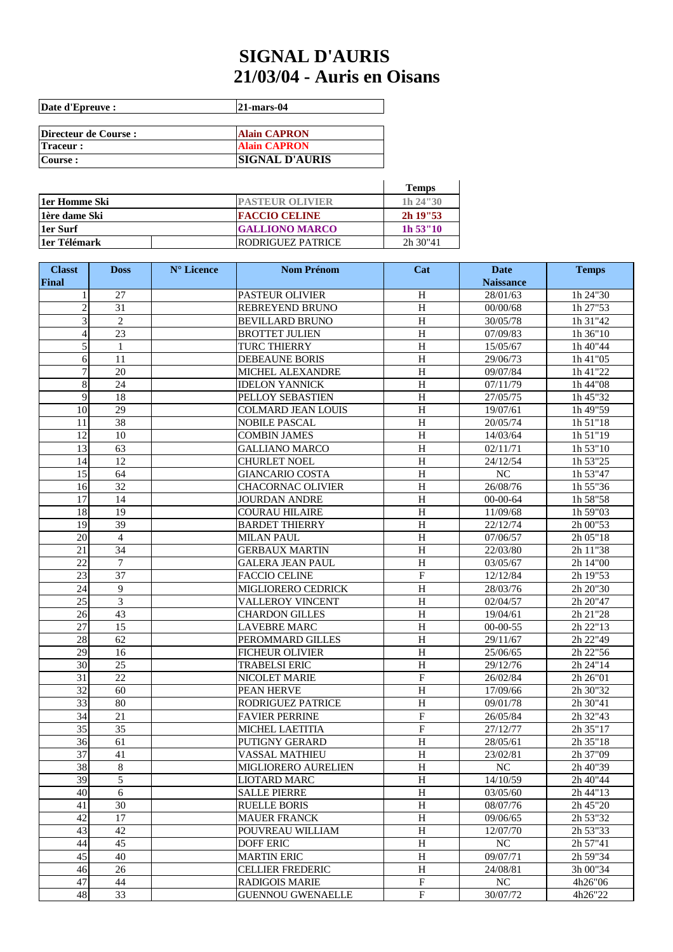## **SIGNAL D'AURIS 21/03/04 - Auris en Oisans**

| Date d'Epreuve :      | <b>21-mars-04</b>     |
|-----------------------|-----------------------|
|                       |                       |
| Directeur de Course : | <b>Alain CAPRON</b>   |
| <b>Traceur:</b>       | <b>Alain CAPRON</b>   |
| Course :              | <b>SIGNAL D'AURIS</b> |

|                 |                        | <b>Temps</b> |
|-----------------|------------------------|--------------|
| 11er Homme Ski  | <b>PASTEUR OLIVIER</b> | 1h 24"30     |
| 1 lère dame Ski | <b>FACCIO CELINE</b>   | $2h$ 19"53   |
| 1er Surf        | <b>GALLIONO MARCO</b>  | $1h\,53''10$ |
| 11er Télémark   | RODRIGUEZ PATRICE      | 2h 30"41     |

| <b>Classt</b>         | <b>Doss</b>           | N° Licence | <b>Nom Prénom</b>                             | Cat                 | <b>Date</b>          | <b>Temps</b>         |
|-----------------------|-----------------------|------------|-----------------------------------------------|---------------------|----------------------|----------------------|
| Final                 |                       |            |                                               |                     | <b>Naissance</b>     |                      |
| 1                     | 27                    |            | <b>PASTEUR OLIVIER</b>                        | $\, {\rm H}$        | 28/01/63             | 1h 24"30             |
| $\overline{2}$        | 31                    |            | REBREYEND BRUNO                               | H                   | 00/00/68             | 1h 27"53             |
| 3                     | $\overline{2}$        |            | <b>BEVILLARD BRUNO</b>                        | $\, {\rm H}$        | 30/05/78             | 1h 31"42             |
| $\overline{4}$        | $\overline{23}$       |            | <b>BROTTET JULIEN</b>                         | $\rm H$             | 07/09/83             | 1h 36"10             |
| 5                     | $\mathbf{1}$          |            | TURC THIERRY                                  | $\overline{H}$      | 15/05/67             | 1h 40"44             |
| 6                     | 11                    |            | <b>DEBEAUNE BORIS</b>                         | $\, {\rm H}$        | 29/06/73             | 1h 41"05             |
| $\overline{7}$        | 20                    |            | <b>MICHEL ALEXANDRE</b>                       | H                   | 09/07/84             | 1h 41"22             |
| 8                     | 24                    |            | <b>IDELON YANNICK</b>                         | H                   | 07/11/79             | 1h 44"08             |
| 9                     | 18                    |            | PELLOY SEBASTIEN                              | $\rm H$             | 27/05/75             | 1h 45"32             |
| 10                    | 29<br>$\overline{38}$ |            | COLMARD JEAN LOUIS                            | H<br>$\overline{H}$ | 19/07/61             | 1h 49"59             |
| 11<br>$\overline{12}$ |                       |            | <b>NOBILE PASCAL</b>                          | $\overline{H}$      | 20/05/74             | 1h 51"18             |
| 13                    | 10<br>63              |            | <b>COMBIN JAMES</b>                           | $\overline{H}$      | 14/03/64             | 1h 51"19<br>1h 53"10 |
|                       | 12                    |            | <b>GALLIANO MARCO</b>                         | $\overline{H}$      | 02/11/71<br>24/12/54 |                      |
| 14<br>15              | 64                    |            | <b>CHURLET NOEL</b><br><b>GIANCARIO COSTA</b> | $\overline{H}$      | $\overline{NC}$      | 1h 53"25<br>1h 53"47 |
| 16                    | 32                    |            | CHACORNAC OLIVIER                             | $\, {\rm H}$        | 26/08/76             | 1h 55"36             |
| 17                    | 14                    |            | <b>JOURDAN ANDRE</b>                          | $\rm H$             | 00-00-64             | 1h 58"58             |
| 18                    | 19                    |            | <b>COURAU HILAIRE</b>                         | $\rm H$             | 11/09/68             | 1h 59"03             |
| 19                    | 39                    |            | <b>BARDET THIERRY</b>                         | $\, {\rm H}$        | 22/12/74             | 2h 00"53             |
| 20                    | $\overline{4}$        |            |                                               | $\mathbf H$         | 07/06/57             | 2h 05"18             |
| 21                    | 34                    |            | MILAN PAUL<br><b>GERBAUX MARTIN</b>           | $\, {\rm H}$        | 22/03/80             | 2h 11"38             |
| $\overline{22}$       | $\overline{7}$        |            | <b>GALERA JEAN PAUL</b>                       | $\overline{H}$      | 03/05/67             | 2h 14"00             |
| 23                    | 37                    |            | <b>FACCIO CELINE</b>                          | ${\bf F}$           | 12/12/84             | 2h 19"53             |
| 24                    | 9                     |            | MIGLIORERO CEDRICK                            | $\rm H$             | 28/03/76             | 2h 20"30             |
| 25                    | 3                     |            | <b>VALLEROY VINCENT</b>                       | H                   | 02/04/57             | 2h 20"47             |
| 26                    | 43                    |            | <b>CHARDON GILLES</b>                         | $\rm H$             | 19/04/61             | 2h 21"28             |
| 27                    | 15                    |            | <b>LAVEBRE MARC</b>                           | H                   | $00-00-55$           | 2h 22"13             |
| $\overline{28}$       | 62                    |            | PEROMMARD GILLES                              | $\overline{H}$      | 29/11/67             | 2h 22"49             |
| 29                    | 16                    |            | FICHEUR OLIVIER                               | $\, {\rm H}$        | 25/06/65             | 2h 22"56             |
| 30                    | 25                    |            | <b>TRABELSI ERIC</b>                          | $\mathbf H$         | 29/12/76             | 2h 24"14             |
| 31                    | 22                    |            | NICOLET MARIE                                 | $\mathbf F$         | 26/02/84             | 2h 26"01             |
| 32                    | 60                    |            | PEAN HERVE                                    | $\rm H$             | 17/09/66             | 2h 30"32             |
| 33                    | 80                    |            | RODRIGUEZ PATRICE                             | $\, {\rm H}$        | 09/01/78             | 2h 30"41             |
| 34                    | 21                    |            | <b>FAVIER PERRINE</b>                         | ${\rm F}$           | 26/05/84             | 2h 32"43             |
| $\overline{35}$       | 35                    |            | <b>MICHEL LAETITIA</b>                        | ${\bf F}$           | 27/12/77             | 2h 35"17             |
| $\overline{36}$       | 61                    |            | PUTIGNY GERARD                                | $\, {\rm H}$        | 28/05/61             | 2h 35"18             |
| 37                    | 41                    |            | <b>VASSAL MATHIEU</b>                         | $\, {\rm H}$        | 23/02/81             | 2h 37"09             |
| 38                    | $\overline{8}$        |            | MIGLIORERO AURELIEN                           | $\overline{\rm H}$  | NC                   | 2h 40"39             |
| 39                    | 5                     |            | <b>LIOTARD MARC</b>                           | $\rm H$             | 14/10/59             | 2h 40"44             |
| 40                    | 6                     |            | <b>SALLE PIERRE</b>                           | $\, {\rm H}$        | 03/05/60             | 2h 44"13             |
| 41                    | 30                    |            | <b>RUELLE BORIS</b>                           | $\, {\rm H}$        | 08/07/76             | 2h 45"20             |
| 42                    | 17                    |            | <b>MAUER FRANCK</b>                           | $\, {\rm H}$        | 09/06/65             | 2h 53"32             |
| 43                    | 42                    |            | POUVREAU WILLIAM                              | H                   | 12/07/70             | 2h 53"33             |
| 44                    | 45                    |            | <b>DOFF ERIC</b>                              | $\, {\rm H}$        | NC                   | 2h 57"41             |
| 45                    | 40                    |            | <b>MARTIN ERIC</b>                            | $\, {\rm H}$        | 09/07/71             | 2h 59"34             |
| 46                    | 26                    |            | <b>CELLIER FREDERIC</b>                       | $\, {\rm H}$        | 24/08/81             | 3h 00"34             |
| 47                    | 44                    |            | <b>RADIGOIS MARIE</b>                         | $\overline{F}$      | $_{\rm NC}$          | 4h26"06              |
| 48                    | 33                    |            | <b>GUENNOU GWENAELLE</b>                      | $\mathbf F$         | 30/07/72             | 4h26"22              |